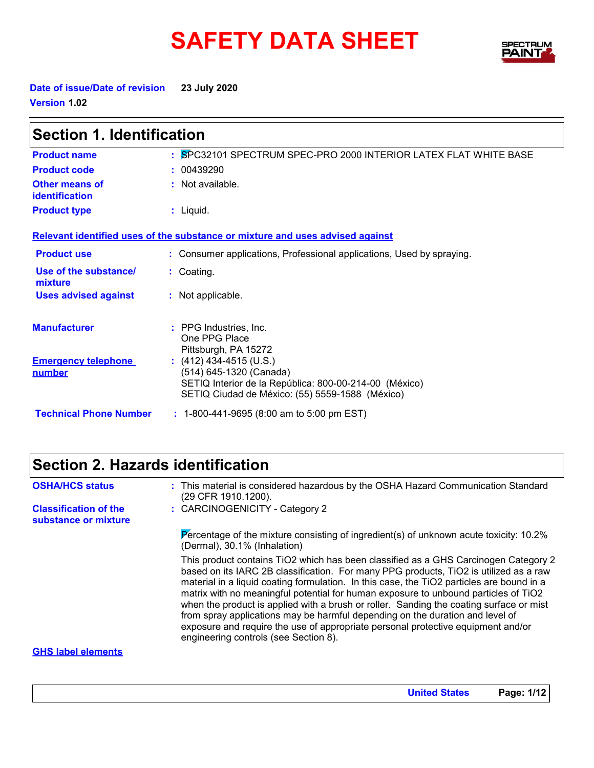# SAFETY DATA SHEET SPECTRY



**Date of issue/Date of revision 23 July 2020 Version 1.02**

| <b>Section 1. Identification</b>     |                                                                                                                                                                 |  |
|--------------------------------------|-----------------------------------------------------------------------------------------------------------------------------------------------------------------|--|
| <b>Product name</b>                  | : SPC32101 SPECTRUM SPEC-PRO 2000 INTERIOR LATEX FLAT WHITE BASE                                                                                                |  |
| <b>Product code</b>                  | : 00439290                                                                                                                                                      |  |
| Other means of<br>identification     | : Not available.                                                                                                                                                |  |
| <b>Product type</b>                  | : Liquid.                                                                                                                                                       |  |
|                                      | Relevant identified uses of the substance or mixture and uses advised against                                                                                   |  |
| <b>Product use</b>                   | : Consumer applications, Professional applications, Used by spraying.                                                                                           |  |
| Use of the substance/<br>mixture     | : Coating.                                                                                                                                                      |  |
| <b>Uses advised against</b>          | : Not applicable.                                                                                                                                               |  |
| <b>Manufacturer</b>                  | : PPG Industries, Inc.<br>One PPG Place<br>Pittsburgh, PA 15272                                                                                                 |  |
| <b>Emergency telephone</b><br>number | $(412)$ 434-4515 (U.S.)<br>(514) 645-1320 (Canada)<br>SETIQ Interior de la República: 800-00-214-00 (México)<br>SETIQ Ciudad de México: (55) 5559-1588 (México) |  |
| <b>Technical Phone Number</b>        | $: 1-800-441-9695 (8:00 am to 5:00 pm EST)$                                                                                                                     |  |

### **Section 2. Hazards identification**

| <b>OSHA/HCS status</b>                               | : This material is considered hazardous by the OSHA Hazard Communication Standard<br>(29 CFR 1910.1200).                                                                                                                                                                                                                                                                                                                                                                                                                                                                                                                                                                  |
|------------------------------------------------------|---------------------------------------------------------------------------------------------------------------------------------------------------------------------------------------------------------------------------------------------------------------------------------------------------------------------------------------------------------------------------------------------------------------------------------------------------------------------------------------------------------------------------------------------------------------------------------------------------------------------------------------------------------------------------|
| <b>Classification of the</b><br>substance or mixture | : CARCINOGENICITY - Category 2                                                                                                                                                                                                                                                                                                                                                                                                                                                                                                                                                                                                                                            |
|                                                      | Percentage of the mixture consisting of ingredient(s) of unknown acute toxicity: 10.2%<br>(Dermal), 30.1% (Inhalation)                                                                                                                                                                                                                                                                                                                                                                                                                                                                                                                                                    |
|                                                      | This product contains TiO2 which has been classified as a GHS Carcinogen Category 2<br>based on its IARC 2B classification. For many PPG products, TiO2 is utilized as a raw<br>material in a liquid coating formulation. In this case, the TiO2 particles are bound in a<br>matrix with no meaningful potential for human exposure to unbound particles of TiO2<br>when the product is applied with a brush or roller. Sanding the coating surface or mist<br>from spray applications may be harmful depending on the duration and level of<br>exposure and require the use of appropriate personal protective equipment and/or<br>engineering controls (see Section 8). |
| <b>GHS label elements</b>                            |                                                                                                                                                                                                                                                                                                                                                                                                                                                                                                                                                                                                                                                                           |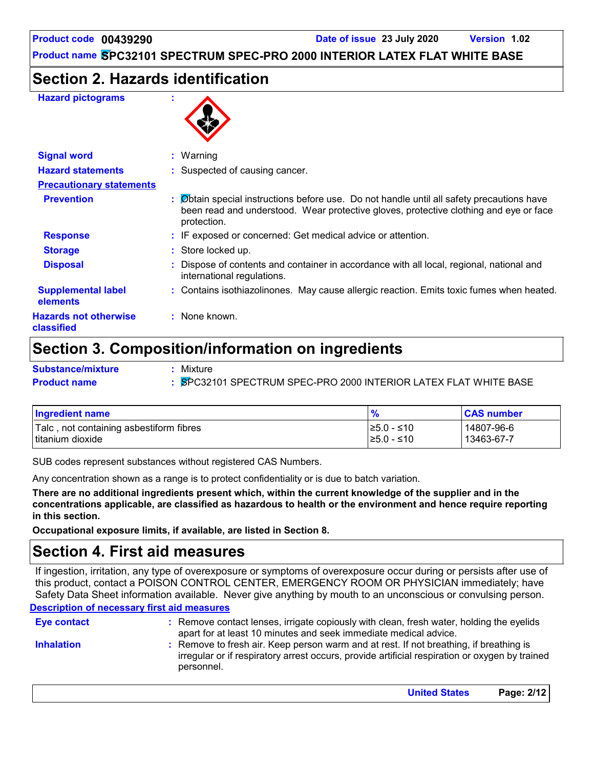### **Section 2. Hazards identification**

#### **Hazard pictograms :**



| <b>Signal word</b>                         | $:$ Warning                                                                                                                                                                                       |  |
|--------------------------------------------|---------------------------------------------------------------------------------------------------------------------------------------------------------------------------------------------------|--|
| <b>Hazard statements</b>                   | : Suspected of causing cancer.                                                                                                                                                                    |  |
| <b>Precautionary statements</b>            |                                                                                                                                                                                                   |  |
| <b>Prevention</b>                          | : Øbtain special instructions before use. Do not handle until all safety precautions have<br>been read and understood. Wear protective gloves, protective clothing and eye or face<br>protection. |  |
| <b>Response</b>                            | : IF exposed or concerned: Get medical advice or attention.                                                                                                                                       |  |
| <b>Storage</b>                             | : Store locked up.                                                                                                                                                                                |  |
| <b>Disposal</b>                            | : Dispose of contents and container in accordance with all local, regional, national and<br>international regulations.                                                                            |  |
| <b>Supplemental label</b><br>elements      | : Contains isothiazolinones. May cause allergic reaction. Emits toxic fumes when heated.                                                                                                          |  |
| <b>Hazards not otherwise</b><br>classified | : None known.                                                                                                                                                                                     |  |

### **Section 3. Composition/information on ingredients**

| <b>Substance/mixture</b> | Mixture                                                        |
|--------------------------|----------------------------------------------------------------|
| <b>Product name</b>      | SPC32101 SPECTRUM SPEC-PRO 2000 INTERIOR LATEX FLAT WHITE BASE |

| Ingredient name                           | - 0         | <b>CAS number</b> |
|-------------------------------------------|-------------|-------------------|
| I Talc, not containing asbestiform fibres | I≥5.0 - ≤10 | 14807-96-6        |
| I titanium dioxide                        | I≥5.0 - ≤10 | 13463-67-7        |

SUB codes represent substances without registered CAS Numbers.

Any concentration shown as a range is to protect confidentiality or is due to batch variation.

**There are no additional ingredients present which, within the current knowledge of the supplier and in the concentrations applicable, are classified as hazardous to health or the environment and hence require reporting in this section.**

**Occupational exposure limits, if available, are listed in Section 8.**

### **Section 4. First aid measures**

**Description of necessary first aid measures** If ingestion, irritation, any type of overexposure or symptoms of overexposure occur during or persists after use of this product, contact a POISON CONTROL CENTER, EMERGENCY ROOM OR PHYSICIAN immediately; have Safety Data Sheet information available. Never give anything by mouth to an unconscious or convulsing person.

| <b>Eye contact</b> | : Remove contact lenses, irrigate copiously with clean, fresh water, holding the eyelids<br>apart for at least 10 minutes and seek immediate medical advice.                                           |
|--------------------|--------------------------------------------------------------------------------------------------------------------------------------------------------------------------------------------------------|
| <b>Inhalation</b>  | : Remove to fresh air. Keep person warm and at rest. If not breathing, if breathing is<br>irregular or if respiratory arrest occurs, provide artificial respiration or oxygen by trained<br>personnel. |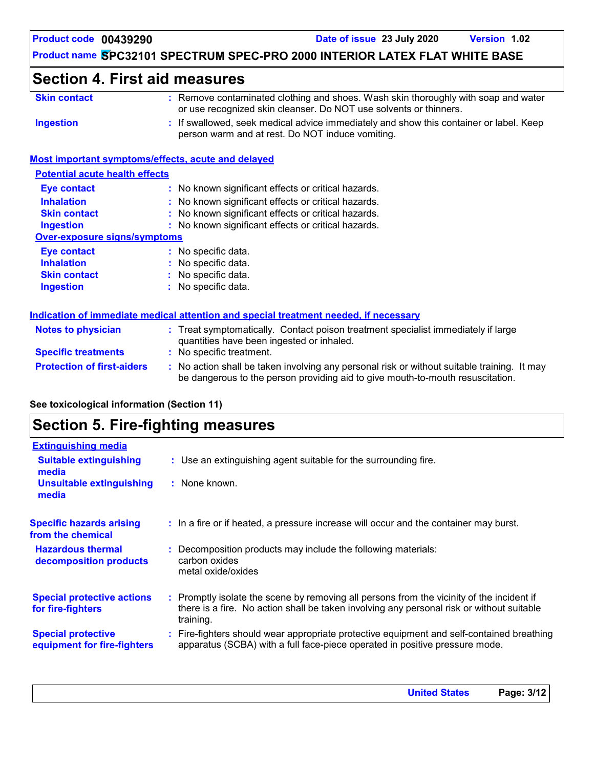### **Section 4. First aid measures**

| <b>Skin contact</b> | : Remove contaminated clothing and shoes. Wash skin thoroughly with soap and water<br>or use recognized skin cleanser. Do NOT use solvents or thinners. |
|---------------------|---------------------------------------------------------------------------------------------------------------------------------------------------------|
| Ingestion           | : If swallowed, seek medical advice immediately and show this container or label. Keep                                                                  |
|                     | person warm and at rest. Do NOT induce vomiting.                                                                                                        |

#### **Most important symptoms/effects, acute and delayed**

| <b>Potential acute health effects</b> |                                                     |
|---------------------------------------|-----------------------------------------------------|
| Eye contact                           | : No known significant effects or critical hazards. |
| <b>Inhalation</b>                     | : No known significant effects or critical hazards. |
| <b>Skin contact</b>                   | : No known significant effects or critical hazards. |
| <b>Ingestion</b>                      | : No known significant effects or critical hazards. |
| Over-exposure signs/symptoms          |                                                     |
| Eye contact                           | : No specific data.                                 |
| <b>Inhalation</b>                     | $:$ No specific data.                               |
| <b>Skin contact</b>                   | : No specific data.                                 |
| <b>Ingestion</b>                      | : No specific data.                                 |
|                                       |                                                     |

|                                   | Indication of immediate medical attention and special treatment needed, if necessary                                                                                          |  |
|-----------------------------------|-------------------------------------------------------------------------------------------------------------------------------------------------------------------------------|--|
| <b>Notes to physician</b>         | : Treat symptomatically. Contact poison treatment specialist immediately if large<br>quantities have been ingested or inhaled.                                                |  |
| <b>Specific treatments</b>        | : No specific treatment.                                                                                                                                                      |  |
| <b>Protection of first-aiders</b> | : No action shall be taken involving any personal risk or without suitable training. It may<br>be dangerous to the person providing aid to give mouth-to-mouth resuscitation. |  |

#### **See toxicological information (Section 11)**

### **Section 5. Fire-fighting measures**

| <b>Extinguishing media</b>                               |                                                                                                                                                                                                     |
|----------------------------------------------------------|-----------------------------------------------------------------------------------------------------------------------------------------------------------------------------------------------------|
| <b>Suitable extinguishing</b><br>media                   | : Use an extinguishing agent suitable for the surrounding fire.                                                                                                                                     |
| <b>Unsuitable extinguishing</b><br>media                 | : None known.                                                                                                                                                                                       |
| <b>Specific hazards arising</b><br>from the chemical     | : In a fire or if heated, a pressure increase will occur and the container may burst.                                                                                                               |
| <b>Hazardous thermal</b><br>decomposition products       | Decomposition products may include the following materials:<br>carbon oxides<br>metal oxide/oxides                                                                                                  |
| <b>Special protective actions</b><br>for fire-fighters   | : Promptly isolate the scene by removing all persons from the vicinity of the incident if<br>there is a fire. No action shall be taken involving any personal risk or without suitable<br>training. |
| <b>Special protective</b><br>equipment for fire-fighters | : Fire-fighters should wear appropriate protective equipment and self-contained breathing<br>apparatus (SCBA) with a full face-piece operated in positive pressure mode.                            |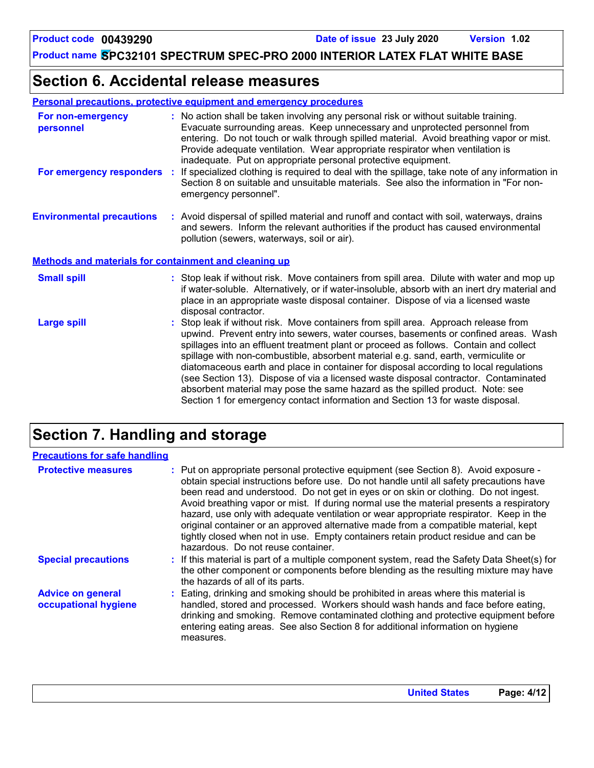### **Section 6. Accidental release measures**

| For non-emergency<br>personnel                               | : No action shall be taken involving any personal risk or without suitable training.<br>Evacuate surrounding areas. Keep unnecessary and unprotected personnel from<br>entering. Do not touch or walk through spilled material. Avoid breathing vapor or mist.<br>Provide adequate ventilation. Wear appropriate respirator when ventilation is<br>inadequate. Put on appropriate personal protective equipment.                                                                                                                                                                                                                                                                                             |
|--------------------------------------------------------------|--------------------------------------------------------------------------------------------------------------------------------------------------------------------------------------------------------------------------------------------------------------------------------------------------------------------------------------------------------------------------------------------------------------------------------------------------------------------------------------------------------------------------------------------------------------------------------------------------------------------------------------------------------------------------------------------------------------|
| For emergency responders                                     | If specialized clothing is required to deal with the spillage, take note of any information in<br>Section 8 on suitable and unsuitable materials. See also the information in "For non-<br>emergency personnel".                                                                                                                                                                                                                                                                                                                                                                                                                                                                                             |
| <b>Environmental precautions</b>                             | : Avoid dispersal of spilled material and runoff and contact with soil, waterways, drains<br>and sewers. Inform the relevant authorities if the product has caused environmental<br>pollution (sewers, waterways, soil or air).                                                                                                                                                                                                                                                                                                                                                                                                                                                                              |
| <b>Methods and materials for containment and cleaning up</b> |                                                                                                                                                                                                                                                                                                                                                                                                                                                                                                                                                                                                                                                                                                              |
| <b>Small spill</b>                                           | : Stop leak if without risk. Move containers from spill area. Dilute with water and mop up<br>if water-soluble. Alternatively, or if water-insoluble, absorb with an inert dry material and<br>place in an appropriate waste disposal container. Dispose of via a licensed waste<br>disposal contractor.                                                                                                                                                                                                                                                                                                                                                                                                     |
| <b>Large spill</b>                                           | : Stop leak if without risk. Move containers from spill area. Approach release from<br>upwind. Prevent entry into sewers, water courses, basements or confined areas. Wash<br>spillages into an effluent treatment plant or proceed as follows. Contain and collect<br>spillage with non-combustible, absorbent material e.g. sand, earth, vermiculite or<br>diatomaceous earth and place in container for disposal according to local regulations<br>(see Section 13). Dispose of via a licensed waste disposal contractor. Contaminated<br>absorbent material may pose the same hazard as the spilled product. Note: see<br>Section 1 for emergency contact information and Section 13 for waste disposal. |

### **Section 7. Handling and storage**

| <b>Precautions for safe handling</b>             |                                                                                                                                                                                                                                                                                                                                                                                                                                                                                                                                                                                                                                                                                |
|--------------------------------------------------|--------------------------------------------------------------------------------------------------------------------------------------------------------------------------------------------------------------------------------------------------------------------------------------------------------------------------------------------------------------------------------------------------------------------------------------------------------------------------------------------------------------------------------------------------------------------------------------------------------------------------------------------------------------------------------|
| <b>Protective measures</b>                       | : Put on appropriate personal protective equipment (see Section 8). Avoid exposure -<br>obtain special instructions before use. Do not handle until all safety precautions have<br>been read and understood. Do not get in eyes or on skin or clothing. Do not ingest.<br>Avoid breathing vapor or mist. If during normal use the material presents a respiratory<br>hazard, use only with adequate ventilation or wear appropriate respirator. Keep in the<br>original container or an approved alternative made from a compatible material, kept<br>tightly closed when not in use. Empty containers retain product residue and can be<br>hazardous. Do not reuse container. |
| <b>Special precautions</b>                       | : If this material is part of a multiple component system, read the Safety Data Sheet(s) for<br>the other component or components before blending as the resulting mixture may have<br>the hazards of all of its parts.                                                                                                                                                                                                                                                                                                                                                                                                                                                        |
| <b>Advice on general</b><br>occupational hygiene | : Eating, drinking and smoking should be prohibited in areas where this material is<br>handled, stored and processed. Workers should wash hands and face before eating,<br>drinking and smoking. Remove contaminated clothing and protective equipment before<br>entering eating areas. See also Section 8 for additional information on hygiene<br>measures.                                                                                                                                                                                                                                                                                                                  |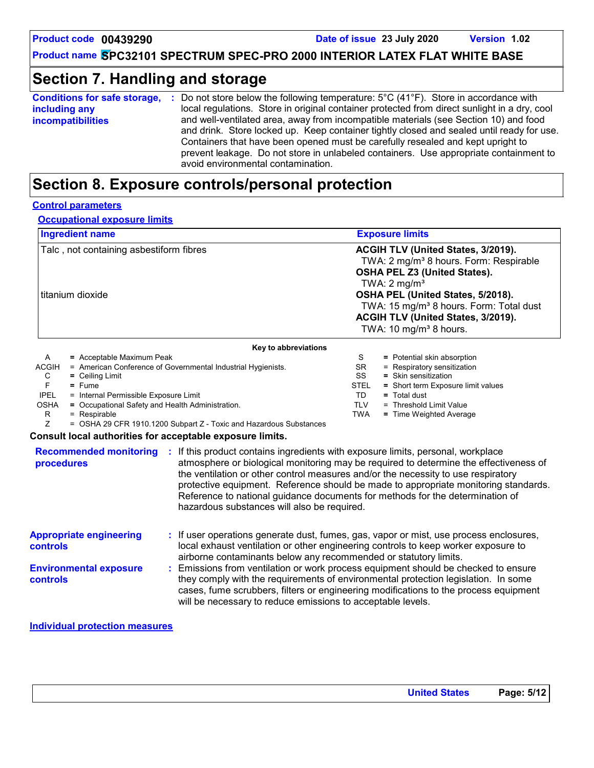### **Section 7. Handling and storage**

| <b>Conditions for safe storage,</b> | Do not store below the following temperature: $5^{\circ}$ C (41 <sup>o</sup> F). Store in accordance with<br><b>P</b>                                                                                                                                                |
|-------------------------------------|----------------------------------------------------------------------------------------------------------------------------------------------------------------------------------------------------------------------------------------------------------------------|
| including any                       | local regulations. Store in original container protected from direct sunlight in a dry, cool                                                                                                                                                                         |
| <b>incompatibilities</b>            | and well-ventilated area, away from incompatible materials (see Section 10) and food<br>and drink. Store locked up. Keep container tightly closed and sealed until ready for use.<br>Containers that have been opened must be carefully resealed and kept upright to |
|                                     | prevent leakage. Do not store in unlabeled containers. Use appropriate containment to<br>avoid environmental contamination.                                                                                                                                          |

### **Section 8. Exposure controls/personal protection**

#### **Control parameters**

|              | <b>Ingredient name</b>                                       |             | <b>Exposure limits</b>                              |  |  |
|--------------|--------------------------------------------------------------|-------------|-----------------------------------------------------|--|--|
|              | Talc, not containing asbestiform fibres                      |             | ACGIH TLV (United States, 3/2019).                  |  |  |
|              |                                                              |             | TWA: 2 mg/m <sup>3</sup> 8 hours. Form: Respirable  |  |  |
|              |                                                              |             | <b>OSHA PEL Z3 (United States).</b>                 |  |  |
|              |                                                              |             | TWA: $2 \text{ mg/m}^3$                             |  |  |
|              | titanium dioxide                                             |             | OSHA PEL (United States, 5/2018).                   |  |  |
|              |                                                              |             | TWA: 15 mg/m <sup>3</sup> 8 hours. Form: Total dust |  |  |
|              |                                                              |             | ACGIH TLV (United States, 3/2019).                  |  |  |
|              |                                                              |             | TWA: 10 mg/m <sup>3</sup> 8 hours.                  |  |  |
|              | Key to abbreviations                                         |             |                                                     |  |  |
| A            | $=$ Acceptable Maximum Peak                                  | S           | = Potential skin absorption                         |  |  |
| <b>ACGIH</b> | = American Conference of Governmental Industrial Hygienists. | SR.         | = Respiratory sensitization                         |  |  |
| C            | $=$ Ceiling Limit                                            | <b>SS</b>   | $=$ Skin sensitization                              |  |  |
| F.           | $=$ Fume                                                     | <b>STEL</b> | = Short term Exposure limit values                  |  |  |
| <b>IPEL</b>  | = Internal Permissible Exposure Limit                        | TD.         | $=$ Total dust                                      |  |  |
| <b>OSHA</b>  | = Occupational Safety and Health Administration.             | TLV         | = Threshold Limit Value                             |  |  |
| R            | = Respirable                                                 | TWA         | $=$ Time Weighted Average                           |  |  |

 $R = Respirable$ <br> $Z = OSHA 29 C$ = OSHA 29 CFR 1910.1200 Subpart Z - Toxic and Hazardous Substances

#### **Consult local authorities for acceptable exposure limits.**

| <b>Recommended monitoring</b><br>procedures       | ÷. | If this product contains ingredients with exposure limits, personal, workplace<br>atmosphere or biological monitoring may be required to determine the effectiveness of<br>the ventilation or other control measures and/or the necessity to use respiratory<br>protective equipment. Reference should be made to appropriate monitoring standards.<br>Reference to national guidance documents for methods for the determination of<br>hazardous substances will also be required. |
|---------------------------------------------------|----|-------------------------------------------------------------------------------------------------------------------------------------------------------------------------------------------------------------------------------------------------------------------------------------------------------------------------------------------------------------------------------------------------------------------------------------------------------------------------------------|
| <b>Appropriate engineering</b><br><b>controls</b> |    | : If user operations generate dust, fumes, gas, vapor or mist, use process enclosures,<br>local exhaust ventilation or other engineering controls to keep worker exposure to<br>airborne contaminants below any recommended or statutory limits.                                                                                                                                                                                                                                    |
| <b>Environmental exposure</b><br><b>controls</b>  |    | : Emissions from ventilation or work process equipment should be checked to ensure<br>they comply with the requirements of environmental protection legislation. In some<br>cases, fume scrubbers, filters or engineering modifications to the process equipment<br>will be necessary to reduce emissions to acceptable levels.                                                                                                                                                     |

**Individual protection measures**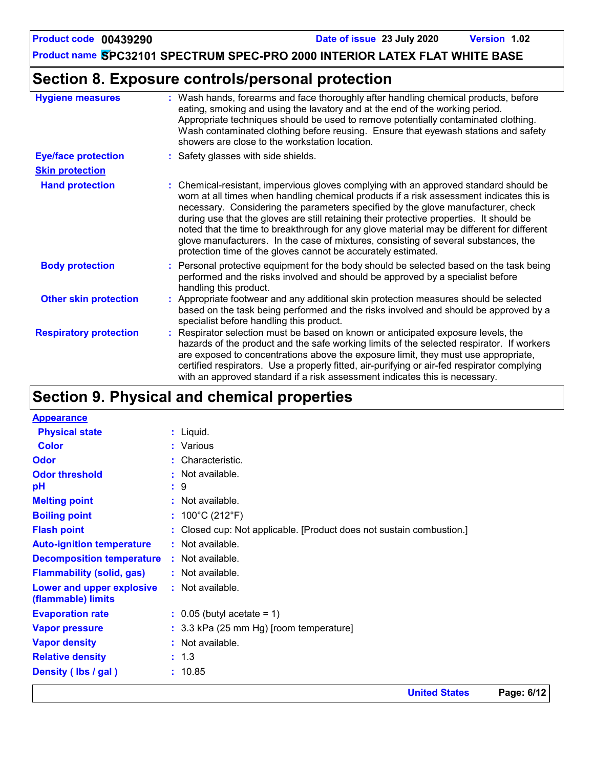### **Product name SPC32101 SPECTRUM SPEC-PRO 2000 INTERIOR LATEX FLAT WHITE BASE**

### **Section 8. Exposure controls/personal protection**

| <b>Hygiene measures</b>       | : Wash hands, forearms and face thoroughly after handling chemical products, before<br>eating, smoking and using the lavatory and at the end of the working period.<br>Appropriate techniques should be used to remove potentially contaminated clothing.<br>Wash contaminated clothing before reusing. Ensure that eyewash stations and safety<br>showers are close to the workstation location.                                                                                                                                                                                                                      |
|-------------------------------|------------------------------------------------------------------------------------------------------------------------------------------------------------------------------------------------------------------------------------------------------------------------------------------------------------------------------------------------------------------------------------------------------------------------------------------------------------------------------------------------------------------------------------------------------------------------------------------------------------------------|
| <b>Eye/face protection</b>    | : Safety glasses with side shields.                                                                                                                                                                                                                                                                                                                                                                                                                                                                                                                                                                                    |
| <b>Skin protection</b>        |                                                                                                                                                                                                                                                                                                                                                                                                                                                                                                                                                                                                                        |
| <b>Hand protection</b>        | : Chemical-resistant, impervious gloves complying with an approved standard should be<br>worn at all times when handling chemical products if a risk assessment indicates this is<br>necessary. Considering the parameters specified by the glove manufacturer, check<br>during use that the gloves are still retaining their protective properties. It should be<br>noted that the time to breakthrough for any glove material may be different for different<br>glove manufacturers. In the case of mixtures, consisting of several substances, the<br>protection time of the gloves cannot be accurately estimated. |
| <b>Body protection</b>        | : Personal protective equipment for the body should be selected based on the task being<br>performed and the risks involved and should be approved by a specialist before<br>handling this product.                                                                                                                                                                                                                                                                                                                                                                                                                    |
| <b>Other skin protection</b>  | : Appropriate footwear and any additional skin protection measures should be selected<br>based on the task being performed and the risks involved and should be approved by a<br>specialist before handling this product.                                                                                                                                                                                                                                                                                                                                                                                              |
| <b>Respiratory protection</b> | : Respirator selection must be based on known or anticipated exposure levels, the<br>hazards of the product and the safe working limits of the selected respirator. If workers<br>are exposed to concentrations above the exposure limit, they must use appropriate,<br>certified respirators. Use a properly fitted, air-purifying or air-fed respirator complying<br>with an approved standard if a risk assessment indicates this is necessary.                                                                                                                                                                     |

## **Section 9. Physical and chemical properties**

| <b>Appearance</b>                |    |                                                                      |
|----------------------------------|----|----------------------------------------------------------------------|
| <b>Physical state</b>            |    | $:$ Liquid.                                                          |
| <b>Color</b>                     |    | : Various                                                            |
| <b>Odor</b>                      |    | : Characteristic.                                                    |
| <b>Odor threshold</b>            |    | : Not available.                                                     |
| рH                               | t. | 9                                                                    |
| <b>Melting point</b>             |    | : Not available.                                                     |
| <b>Boiling point</b>             |    | : $100^{\circ}$ C (212 $^{\circ}$ F)                                 |
| <b>Flash point</b>               |    | : Closed cup: Not applicable. [Product does not sustain combustion.] |
| <b>Auto-ignition temperature</b> |    | $:$ Not available.                                                   |
| <b>Decomposition temperature</b> |    | : Not available.                                                     |
| <b>Flammability (solid, gas)</b> |    | : Not available.                                                     |
| Lower and upper explosive        |    | : Not available.                                                     |
| (flammable) limits               |    |                                                                      |
| <b>Evaporation rate</b>          |    | $\therefore$ 0.05 (butyl acetate = 1)                                |
| <b>Vapor pressure</b>            |    | : 3.3 kPa (25 mm Hg) [room temperature]                              |
| <b>Vapor density</b>             |    | $:$ Not available.                                                   |
| <b>Relative density</b>          |    | : 1.3                                                                |
| Density (Ibs / gal)              |    | : 10.85                                                              |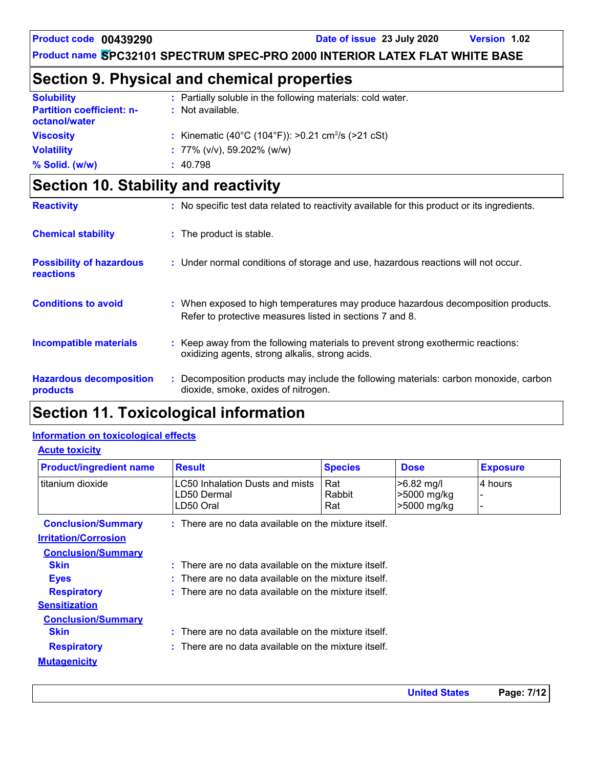**United States Page: 7/12**

**Product name SPC32101 SPECTRUM SPEC-PRO 2000 INTERIOR LATEX FLAT WHITE BASE**

### **Section 9. Physical and chemical properties**

| <b>Solubility</b>                | : Partially soluble in the following materials: cold water.    |
|----------------------------------|----------------------------------------------------------------|
| <b>Partition coefficient: n-</b> | $:$ Not available.                                             |
| octanol/water                    |                                                                |
| <b>Viscosity</b>                 | : Kinematic (40°C (104°F)): >0.21 cm <sup>2</sup> /s (>21 cSt) |
| <b>Volatility</b>                | : $77\%$ (v/v), 59.202% (w/w)                                  |
| % Solid. (w/w)                   | : 40.798                                                       |

### **Section 10. Stability and reactivity**

| <b>Reactivity</b>                            | : No specific test data related to reactivity available for this product or its ingredients.                                                  |
|----------------------------------------------|-----------------------------------------------------------------------------------------------------------------------------------------------|
| <b>Chemical stability</b>                    | : The product is stable.                                                                                                                      |
| <b>Possibility of hazardous</b><br>reactions | : Under normal conditions of storage and use, hazardous reactions will not occur.                                                             |
| <b>Conditions to avoid</b>                   | : When exposed to high temperatures may produce hazardous decomposition products.<br>Refer to protective measures listed in sections 7 and 8. |
| <b>Incompatible materials</b>                | : Keep away from the following materials to prevent strong exothermic reactions:<br>oxidizing agents, strong alkalis, strong acids.           |
| <b>Hazardous decomposition</b><br>products   | : Decomposition products may include the following materials: carbon monoxide, carbon<br>dioxide, smoke, oxides of nitrogen.                  |

### **Section 11. Toxicological information**

#### **Information on toxicological effects**

#### **Acute toxicity**

| <b>Product/ingredient name</b> | <b>Result</b>                                               | <b>Species</b>       | <b>Dose</b>                              | <b>Exposure</b> |
|--------------------------------|-------------------------------------------------------------|----------------------|------------------------------------------|-----------------|
| titanium dioxide               | LC50 Inhalation Dusts and mists<br>LD50 Dermal<br>LD50 Oral | Rat<br>Rabbit<br>Rat | >6.82 mg/l<br>>5000 mg/kg<br>>5000 mg/kg | 4 hours         |
| <b>Conclusion/Summary</b>      | $:$ There are no data available on the mixture itself.      |                      |                                          |                 |
| <b>Irritation/Corrosion</b>    |                                                             |                      |                                          |                 |
| <b>Conclusion/Summary</b>      |                                                             |                      |                                          |                 |
| <b>Skin</b>                    | $:$ There are no data available on the mixture itself.      |                      |                                          |                 |
| <b>Eyes</b>                    | $:$ There are no data available on the mixture itself.      |                      |                                          |                 |
| <b>Respiratory</b>             | : There are no data available on the mixture itself.        |                      |                                          |                 |
| <b>Sensitization</b>           |                                                             |                      |                                          |                 |
| <b>Conclusion/Summary</b>      |                                                             |                      |                                          |                 |
| <b>Skin</b>                    | $:$ There are no data available on the mixture itself.      |                      |                                          |                 |
| <b>Respiratory</b>             | : There are no data available on the mixture itself.        |                      |                                          |                 |
| <b>Mutagenicity</b>            |                                                             |                      |                                          |                 |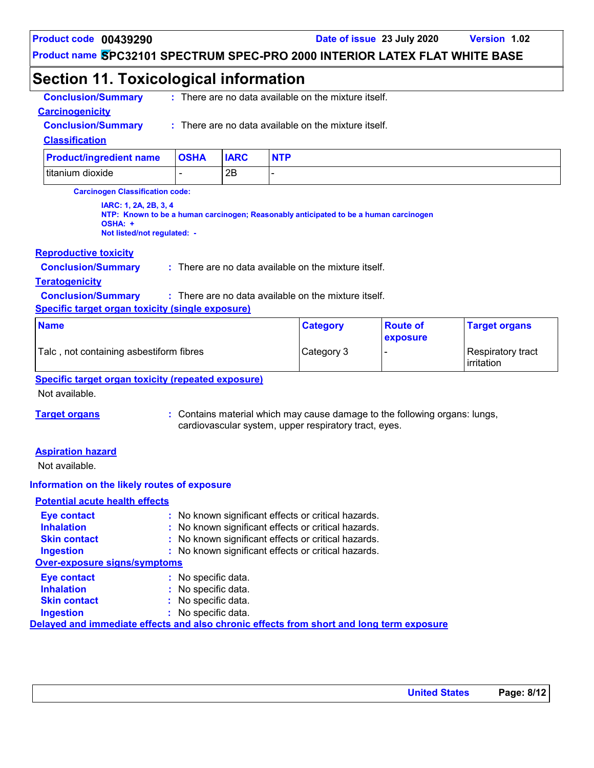**Product name SPC32101 SPECTRUM SPEC-PRO 2000 INTERIOR LATEX FLAT WHITE BASE**

### **Section 11. Toxicological information**

| <b>Conclusion/Summary</b>      |             |             | : There are no data available on the mixture itself. |  |
|--------------------------------|-------------|-------------|------------------------------------------------------|--|
| <b>Carcinogenicity</b>         |             |             |                                                      |  |
| <b>Conclusion/Summary</b>      |             |             | : There are no data available on the mixture itself. |  |
| <b>Classification</b>          |             |             |                                                      |  |
| <b>Product/ingredient name</b> | <b>OSHA</b> | <b>IARC</b> | <b>NTP</b>                                           |  |
| titanium dioxide               | -           | 2Β          | -                                                    |  |

**Carcinogen Classification code:**

**IARC: 1, 2A, 2B, 3, 4 NTP: Known to be a human carcinogen; Reasonably anticipated to be a human carcinogen OSHA: +**

**Not listed/not regulated: -**

#### **Reproductive toxicity**

| <b>Conclusion/Summary</b> | $\therefore$ There are no data available on the mixture itself. |
|---------------------------|-----------------------------------------------------------------|
|---------------------------|-----------------------------------------------------------------|

#### **Teratogenicity**

**Conclusion/Summary :** There are no data available on the mixture itself.

#### **Specific target organ toxicity (single exposure)**

| <b>Name</b>                               | <b>Category</b> | <b>Route of</b><br>exposure | <b>Target organs</b>              |
|-------------------------------------------|-----------------|-----------------------------|-----------------------------------|
| 'Talc , not containing asbestiform fibres | Category 3      |                             | Respiratory tract<br>l irritation |

#### **Specific target organ toxicity (repeated exposure)**

Not available.

**Target organs :** Contains material which may cause damage to the following organs: lungs, cardiovascular system, upper respiratory tract, eyes.

#### **Aspiration hazard**

Not available.

#### **Information on the likely routes of exposure**

#### **Potential acute health effects**

| <b>Eye contact</b>           | : No known significant effects or critical hazards.                                      |
|------------------------------|------------------------------------------------------------------------------------------|
| <b>Inhalation</b>            | : No known significant effects or critical hazards.                                      |
| <b>Skin contact</b>          | : No known significant effects or critical hazards.                                      |
| <b>Ingestion</b>             | : No known significant effects or critical hazards.                                      |
| Over-exposure signs/symptoms |                                                                                          |
| <b>Eye contact</b>           | : No specific data.                                                                      |
| <b>Inhalation</b>            | : No specific data.                                                                      |
| <b>Skin contact</b>          | : No specific data.                                                                      |
| <b>Ingestion</b>             | : No specific data.                                                                      |
|                              | Delayed and immediate effects and also chronic effects from short and long term exposure |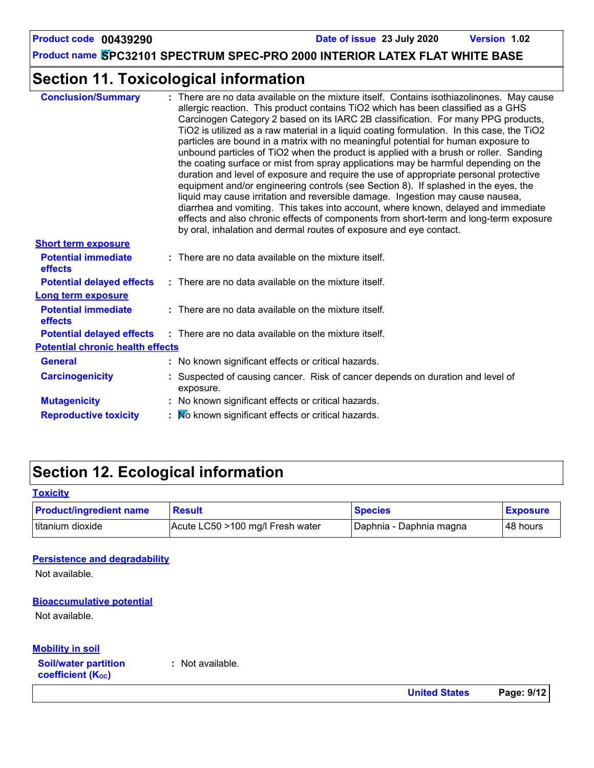**Product name SPC32101 SPECTRUM SPEC-PRO 2000 INTERIOR LATEX FLAT WHITE BASE**

### **Section 11. Toxicological information**

| <b>Conclusion/Summary</b>               | : There are no data available on the mixture itself. Contains isothiazolinones. May cause<br>allergic reaction. This product contains TiO2 which has been classified as a GHS<br>Carcinogen Category 2 based on its IARC 2B classification. For many PPG products,<br>TiO2 is utilized as a raw material in a liquid coating formulation. In this case, the TiO2<br>particles are bound in a matrix with no meaningful potential for human exposure to<br>unbound particles of TiO2 when the product is applied with a brush or roller. Sanding<br>the coating surface or mist from spray applications may be harmful depending on the<br>duration and level of exposure and require the use of appropriate personal protective<br>equipment and/or engineering controls (see Section 8). If splashed in the eyes, the<br>liquid may cause irritation and reversible damage. Ingestion may cause nausea,<br>diarrhea and vomiting. This takes into account, where known, delayed and immediate<br>effects and also chronic effects of components from short-term and long-term exposure<br>by oral, inhalation and dermal routes of exposure and eye contact. |
|-----------------------------------------|---------------------------------------------------------------------------------------------------------------------------------------------------------------------------------------------------------------------------------------------------------------------------------------------------------------------------------------------------------------------------------------------------------------------------------------------------------------------------------------------------------------------------------------------------------------------------------------------------------------------------------------------------------------------------------------------------------------------------------------------------------------------------------------------------------------------------------------------------------------------------------------------------------------------------------------------------------------------------------------------------------------------------------------------------------------------------------------------------------------------------------------------------------------|
| <b>Short term exposure</b>              |                                                                                                                                                                                                                                                                                                                                                                                                                                                                                                                                                                                                                                                                                                                                                                                                                                                                                                                                                                                                                                                                                                                                                               |
| <b>Potential immediate</b><br>effects   | $:$ There are no data available on the mixture itself.                                                                                                                                                                                                                                                                                                                                                                                                                                                                                                                                                                                                                                                                                                                                                                                                                                                                                                                                                                                                                                                                                                        |
| <b>Potential delayed effects</b>        | $\therefore$ There are no data available on the mixture itself.                                                                                                                                                                                                                                                                                                                                                                                                                                                                                                                                                                                                                                                                                                                                                                                                                                                                                                                                                                                                                                                                                               |
| <b>Long term exposure</b>               |                                                                                                                                                                                                                                                                                                                                                                                                                                                                                                                                                                                                                                                                                                                                                                                                                                                                                                                                                                                                                                                                                                                                                               |
| <b>Potential immediate</b><br>effects   | $:$ There are no data available on the mixture itself.                                                                                                                                                                                                                                                                                                                                                                                                                                                                                                                                                                                                                                                                                                                                                                                                                                                                                                                                                                                                                                                                                                        |
| <b>Potential delayed effects</b>        | : There are no data available on the mixture itself.                                                                                                                                                                                                                                                                                                                                                                                                                                                                                                                                                                                                                                                                                                                                                                                                                                                                                                                                                                                                                                                                                                          |
| <b>Potential chronic health effects</b> |                                                                                                                                                                                                                                                                                                                                                                                                                                                                                                                                                                                                                                                                                                                                                                                                                                                                                                                                                                                                                                                                                                                                                               |
| <b>General</b>                          | : No known significant effects or critical hazards.                                                                                                                                                                                                                                                                                                                                                                                                                                                                                                                                                                                                                                                                                                                                                                                                                                                                                                                                                                                                                                                                                                           |
| <b>Carcinogenicity</b>                  | : Suspected of causing cancer. Risk of cancer depends on duration and level of<br>exposure.                                                                                                                                                                                                                                                                                                                                                                                                                                                                                                                                                                                                                                                                                                                                                                                                                                                                                                                                                                                                                                                                   |
| <b>Mutagenicity</b>                     | : No known significant effects or critical hazards.                                                                                                                                                                                                                                                                                                                                                                                                                                                                                                                                                                                                                                                                                                                                                                                                                                                                                                                                                                                                                                                                                                           |
| <b>Reproductive toxicity</b>            | : No known significant effects or critical hazards.                                                                                                                                                                                                                                                                                                                                                                                                                                                                                                                                                                                                                                                                                                                                                                                                                                                                                                                                                                                                                                                                                                           |
|                                         |                                                                                                                                                                                                                                                                                                                                                                                                                                                                                                                                                                                                                                                                                                                                                                                                                                                                                                                                                                                                                                                                                                                                                               |

### **Section 12. Ecological information**

| <b>Toxicity</b> |  |  |
|-----------------|--|--|
|                 |  |  |
|                 |  |  |

| <b>Product/ingredient name</b> | <b>Result</b>                    | <b>Species</b>          | <b>Exposure</b> |
|--------------------------------|----------------------------------|-------------------------|-----------------|
| titanium dioxide               | Acute LC50 >100 mg/l Fresh water | Daphnia - Daphnia magna | 48 hours        |

#### **Persistence and degradability**

Not available.

#### **Bioaccumulative potential**

Not available.

**Soil/water partition coefficient (KOC) :** Not available. **Mobility in soil**

**United States Page: 9/12**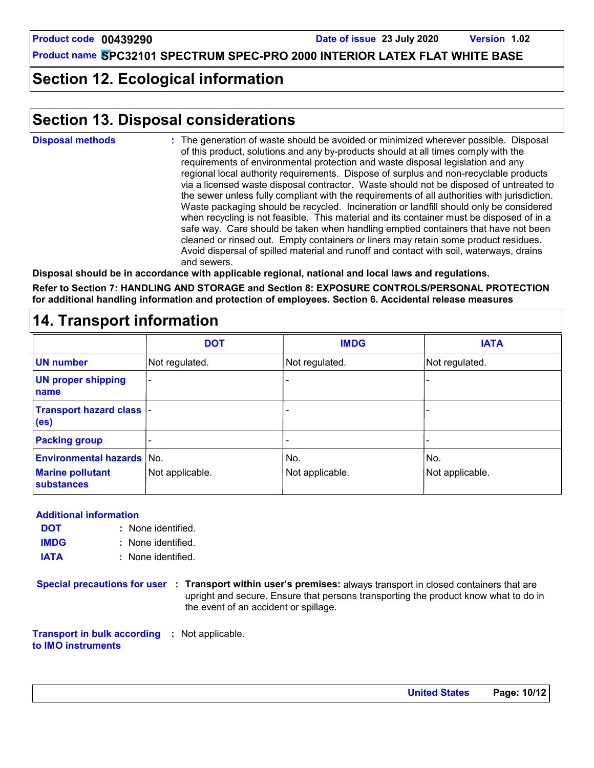### **Section 12. Ecological information**

### **Section 13. Disposal considerations**

| <b>Disposal methods</b><br>and sewers. | : The generation of waste should be avoided or minimized wherever possible. Disposal<br>of this product, solutions and any by-products should at all times comply with the<br>requirements of environmental protection and waste disposal legislation and any<br>regional local authority requirements. Dispose of surplus and non-recyclable products<br>via a licensed waste disposal contractor. Waste should not be disposed of untreated to<br>the sewer unless fully compliant with the requirements of all authorities with jurisdiction.<br>Waste packaging should be recycled. Incineration or landfill should only be considered<br>when recycling is not feasible. This material and its container must be disposed of in a<br>safe way. Care should be taken when handling emptied containers that have not been<br>cleaned or rinsed out. Empty containers or liners may retain some product residues.<br>Avoid dispersal of spilled material and runoff and contact with soil, waterways, drains |
|----------------------------------------|----------------------------------------------------------------------------------------------------------------------------------------------------------------------------------------------------------------------------------------------------------------------------------------------------------------------------------------------------------------------------------------------------------------------------------------------------------------------------------------------------------------------------------------------------------------------------------------------------------------------------------------------------------------------------------------------------------------------------------------------------------------------------------------------------------------------------------------------------------------------------------------------------------------------------------------------------------------------------------------------------------------|
|                                        | Disposal should be in accordance with applicable regional, pational and local laws and requistions.                                                                                                                                                                                                                                                                                                                                                                                                                                                                                                                                                                                                                                                                                                                                                                                                                                                                                                            |

**Disposal should be in accordance with applicable regional, national and local laws and regulations. Refer to Section 7: HANDLING AND STORAGE and Section 8: EXPOSURE CONTROLS/PERSONAL PROTECTION for additional handling information and protection of employees. Section 6. Accidental release measures**

### **14. Transport information**

|                                                       | <b>DOT</b>      | <b>IMDG</b>     | <b>IATA</b>     |
|-------------------------------------------------------|-----------------|-----------------|-----------------|
| <b>UN number</b>                                      | Not regulated.  | Not regulated.  | Not regulated.  |
| <b>UN proper shipping</b><br>name                     | $\overline{a}$  |                 |                 |
| <b>Transport hazard class  -</b><br>(e <sub>s</sub> ) |                 |                 |                 |
| <b>Packing group</b>                                  |                 |                 |                 |
| <b>Environmental hazards No.</b>                      |                 | No.             | No.             |
| <b>Marine pollutant</b><br>substances                 | Not applicable. | Not applicable. | Not applicable. |

#### **Additional information**

- None identified. **: DOT**
- None identified. **: IMDG**
- **IATA :** None identified.
- **Special precautions for user Transport within user's premises:** always transport in closed containers that are **:** upright and secure. Ensure that persons transporting the product know what to do in the event of an accident or spillage.

**Transport in bulk according :** Not applicable. **to IMO instruments**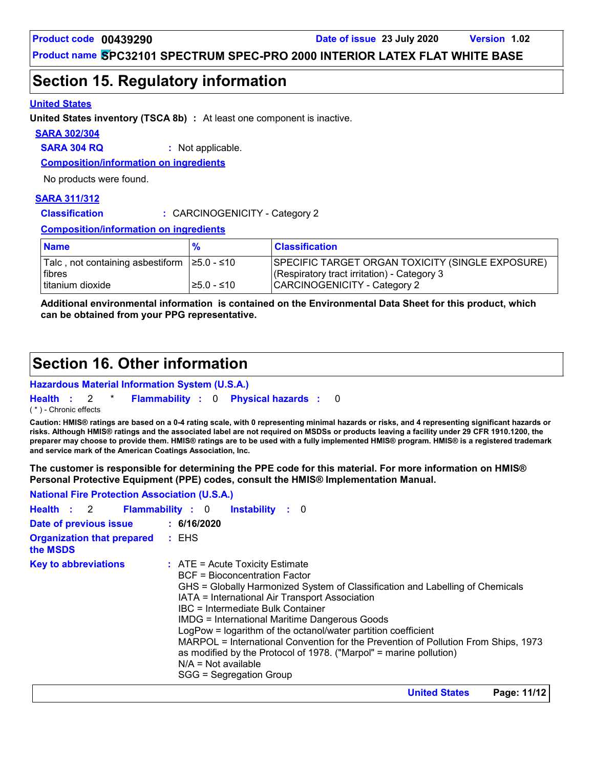### **Section 15. Regulatory information**

#### **United States**

**United States inventory (TSCA 8b) :** At least one component is inactive.

#### **SARA 302/304**

**SARA 304 RQ :** Not applicable.

**Composition/information on ingredients**

No products were found.

#### **SARA 311/312**

**Classification :** CARCINOGENICITY - Category 2

#### **Composition/information on ingredients**

| <b>Name</b>                                             |             | <b>Classification</b>                                                                           |
|---------------------------------------------------------|-------------|-------------------------------------------------------------------------------------------------|
| Talc, not containing asbestiform   ≥5.0 - ≤10<br>fibres |             | SPECIFIC TARGET ORGAN TOXICITY (SINGLE EXPOSURE)<br>(Respiratory tract irritation) - Category 3 |
| Ititanium dioxide                                       | l≥5.0 - ≤10 | CARCINOGENICITY - Category 2                                                                    |

**Additional environmental information is contained on the Environmental Data Sheet for this product, which can be obtained from your PPG representative.**

### **Section 16. Other information**

#### **Hazardous Material Information System (U.S.A.)**

**Health** : 2 \* **Flammability** : 0 **Physical hazards** : 0 0 ( \* ) - Chronic effects

**Caution: HMIS® ratings are based on a 0-4 rating scale, with 0 representing minimal hazards or risks, and 4 representing significant hazards or risks. Although HMIS® ratings and the associated label are not required on MSDSs or products leaving a facility under 29 CFR 1910.1200, the preparer may choose to provide them. HMIS® ratings are to be used with a fully implemented HMIS® program. HMIS® is a registered trademark and service mark of the American Coatings Association, Inc.**

**The customer is responsible for determining the PPE code for this material. For more information on HMIS® Personal Protective Equipment (PPE) codes, consult the HMIS® Implementation Manual.**

| <b>National Fire Protection Association (U.S.A.)</b> |                                                                                                                                                                                                                                                                                                                                                                                                                                                                                                                                                                                                     |
|------------------------------------------------------|-----------------------------------------------------------------------------------------------------------------------------------------------------------------------------------------------------------------------------------------------------------------------------------------------------------------------------------------------------------------------------------------------------------------------------------------------------------------------------------------------------------------------------------------------------------------------------------------------------|
|                                                      | Health : 2 Flammability : 0 Instability : 0                                                                                                                                                                                                                                                                                                                                                                                                                                                                                                                                                         |
| Date of previous issue                               | : 6/16/2020                                                                                                                                                                                                                                                                                                                                                                                                                                                                                                                                                                                         |
| <b>Organization that prepared : EHS</b><br>the MSDS  |                                                                                                                                                                                                                                                                                                                                                                                                                                                                                                                                                                                                     |
| <b>Key to abbreviations</b>                          | $\therefore$ ATE = Acute Toxicity Estimate<br><b>BCF</b> = Bioconcentration Factor<br>GHS = Globally Harmonized System of Classification and Labelling of Chemicals<br>IATA = International Air Transport Association<br>IBC = Intermediate Bulk Container<br><b>IMDG = International Maritime Dangerous Goods</b><br>LogPow = logarithm of the octanol/water partition coefficient<br>MARPOL = International Convention for the Prevention of Pollution From Ships, 1973<br>as modified by the Protocol of 1978. ("Marpol" = marine pollution)<br>$N/A = Not available$<br>SGG = Segregation Group |
|                                                      | D <sub>2</sub> na: 11/12<br><b>Ilnitad Statas</b>                                                                                                                                                                                                                                                                                                                                                                                                                                                                                                                                                   |

**United States Page: 11/12**